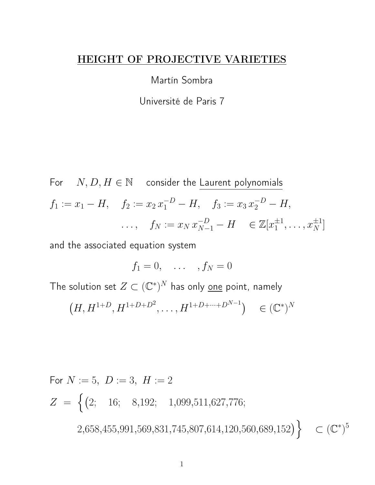#### HEIGHT OF PROJECTIVE VARIETIES

Martín Sombra

Université de Paris 7

For  $N, D, H \in \mathbb{N}$  consider the Laurent polynomials  $f_1 := x_1 - H$ ,  $f_2 := x_2 x_1^{-D} - H$ ,  $f_3 := x_3 x_2^{-D} - H$ ,  $\ldots, \quad f_N := x_N \, x_{N-1}^{-D} - H \quad \in \mathbb{Z}[x_1^{\pm 1}]$  $x_1^{\pm 1}, \ldots, x_N^{\pm 1}]$ 

and the associated equation system

 $f_1 = 0, \ldots, f_N = 0$ 

The solution set  $Z \subset (\mathbb{C}^\ast)^N$  has only <u>one</u> point, namely

$$
(H, H^{1+D}, H^{1+D+D^2}, \dots, H^{1+D+\dots+D^{N-1}}) \in (\mathbb{C}^*)^N
$$

For  $N := 5$ ,  $D := 3$ ,  $H := 2$  $Z = \begin{cases} (2; 16; 8,192; 1,099,511,627,776; \end{cases}$  $2,658,455,991,569,831,745,807,614,120,560,689,152$  $\subset (\mathbb{C}^*)^5$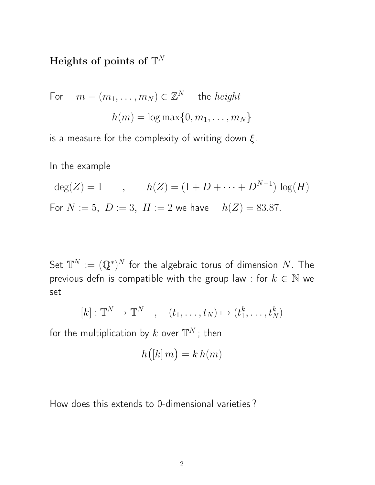# Heights of points of  $\mathbb{T}^N$

For 
$$
m = (m_1, ..., m_N) \in \mathbb{Z}^N
$$
 the *height*  

$$
h(m) = \log \max\{0, m_1, ..., m_N\}
$$

is a measure for the complexity of writing down  $\xi$ .

In the example

$$
deg(Z) = 1, \t h(Z) = (1 + D + \dots + D^{N-1}) log(H)
$$
  
For  $N := 5$ ,  $D := 3$ ,  $H := 2$  we have  $h(Z) = 83.87$ .

Set  $\mathbb{T}^N:=(\mathbb{Q}^*)^N$  for the algebraic torus of dimension  $N.$  The previous defn is compatible with the group law : for  $k \in \mathbb{N}$  we set

$$
[k] : \mathbb{T}^N \to \mathbb{T}^N \quad , \quad (t_1, \ldots, t_N) \mapsto (t_1^k, \ldots, t_N^k)
$$

for the multiplication by  $k$  over  $\mathbb{T}^N$  ; then

$$
h([k] \, m) = k \, h(m)
$$

How does this extends to 0-dimensional varieties ?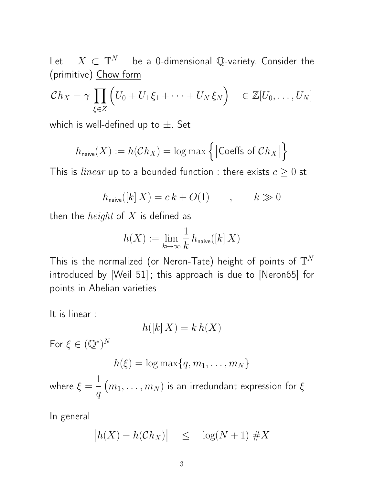Let  $X \subset \mathbb{T}^N$  be a 0-dimensional Q-variety. Consider the (primitive) Chow form

$$
\mathcal{C}h_X = \gamma \prod_{\xi \in Z} \left( U_0 + U_1 \xi_1 + \dots + U_N \xi_N \right) \in \mathbb{Z}[U_0, \dots, U_N]
$$

which is well-defined up to  $\pm$ . Set

$$
h_{\text{naive}}(X) := h(\mathcal{C}h_X) = \log \max \Big\{ \big| \text{Coeffs of } \mathcal{C}h_X \big| \Big\}
$$

This is *linear* up to a bounded function : there exists  $c \geq 0$  st

$$
h_{\text{naive}}([k]\, X) = c\, k + O(1) \qquad , \qquad k \gg 0
$$

then the *height* of  $X$  is defined as

$$
h(X):=\lim_{k\mapsto\infty}\frac{1}{k}\,h_{\mathrm{naive}}([k]\,X)
$$

This is the <u>normalized</u> (or Neron-Tate) height of points of  $\mathbb{T}^N$ introduced by [Weil 51] ; this approach is due to [Neron65] for points in Abelian varieties

It is linear :

$$
h([k]\, X)=k\,h(X)
$$

For  $\xi \in (\mathbb{Q}^*)^N$ 

$$
h(\xi) = \log \max\{q, m_1, \ldots, m_N\}
$$

where  $\xi =$ 1  $\overline{q}$  $(m_1, \ldots, m_N)$  is an irredundant expression for  $\xi$ 

In general

$$
\left| h(X) - h(\mathcal{C}h_X) \right| \le \log(N+1) \# X
$$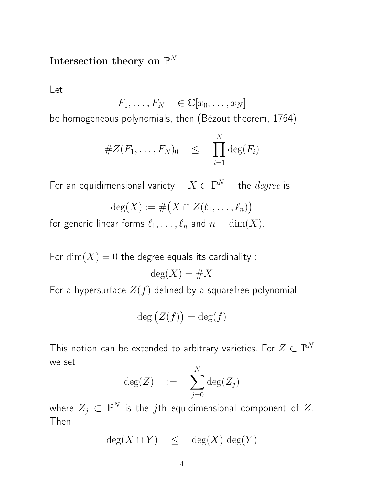# Intersection theory on  $\mathbb{P}^N$

Let

$$
F_1, \ldots, F_N \in \mathbb{C}[x_0, \ldots, x_N]
$$

be homogeneous polynomials, then (Bézout theorem, 1764)

#Z(F1, . . . , FN)<sup>0</sup> ≤ Y N i=1 deg(Fi)

For an equidimensional variety  $X \subset \mathbb{P}^N$  the  $degree$  is

$$
\deg(X) := \# \big(X \cap Z(\ell_1,\ldots,\ell_n)\big)
$$

for generic linear forms  $\ell_1, \ldots, \ell_n$  and  $n = \dim(X)$ .

For  $\dim(X) = 0$  the degree equals its cardinality :  $deg(X) = #X$ 

For a hypersurface  $Z(f)$  defined by a squarefree polynomial

$$
\deg\big(Z(f)\big) = \deg(f)
$$

This notion can be extended to arbitrary varieties. For  $Z \subset \mathbb{P}^N$ we set  $\overline{N}$ 

$$
\deg(Z) \quad := \quad \sum_{j=0}^N \deg(Z_j)
$$

where  $Z_j\, \subset\, {\mathbb P}^N$  is the  $j$ th equidimensional component of  $Z.$ Then

$$
\deg(X \cap Y) \leq \deg(X) \deg(Y)
$$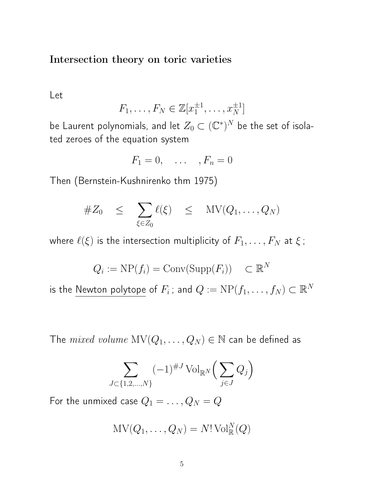Intersection theory on toric varieties

Let

$$
F_1, \ldots, F_N \in \mathbb{Z}[x_1^{\pm 1}, \ldots, x_N^{\pm 1}]
$$

be Laurent polynomials, and let  $Z_0\subset (\mathbb{C}^*)^N$  be the set of isolated zeroes of the equation system

$$
F_1 = 0, \quad \dots \quad , F_n = 0
$$

Then (Bernstein-Kushnirenko thm 1975)

$$
\#Z_0 \leq \sum_{\xi \in Z_0} \ell(\xi) \leq \text{MV}(Q_1, \dots, Q_N)
$$

where  $\ell(\xi)$  is the intersection multiplicity of  $F_1, \ldots, F_N$  at  $\xi$ ;

$$
Q_i := \text{NP}(f_i) = \text{Conv}(\text{Supp}(F_i)) \quad \subset \mathbb{R}^N
$$

is the Newton polytope of  $F_i$  ; and  $Q := \mathrm{NP}(f_1, \ldots, f_N) \subset \mathbb{R}^N$ 

The  $mixed\ volume\ MV(Q_1,\ldots,Q_N)\in\mathbb{N}$  can be defined as

$$
\sum_{J \subset \{1,2,\dots,N\}} (-1)^{\#J} \operatorname{Vol}_{\mathbb{R}^N} \Big( \sum_{j \in J} Q_j \Big)
$$

For the unmixed case  $Q_1 = \ldots, Q_N = Q$ 

$$
\mathrm{MV}(Q_1,\ldots,Q_N)=N!\,\mathrm{Vol}^N_\mathbb{R}(Q)
$$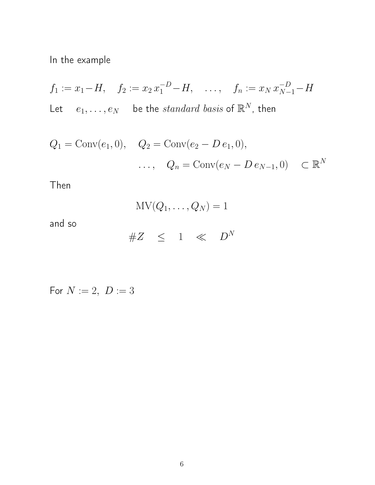In the example

$$
f_1 := x_1 - H, \quad f_2 := x_2 x_1^{-D} - H, \quad \dots, \quad f_n := x_N x_{N-1}^{-D} - H
$$
  
Let  $e_1, \dots, e_N$  be the *standard basis* of  $\mathbb{R}^N$ , then

$$
Q_1 = \text{Conv}(e_1, 0), \quad Q_2 = \text{Conv}(e_2 - D e_1, 0),
$$
  
...,  $Q_n = \text{Conv}(e_N - D e_{N-1}, 0) \subset \mathbb{R}^N$ 

Then

$$
\text{MV}(Q_1,\ldots,Q_N)=1
$$

and so

$$
\#Z \quad \leq \quad 1 \quad \ll \quad D^N
$$

For  $N := 2, D := 3$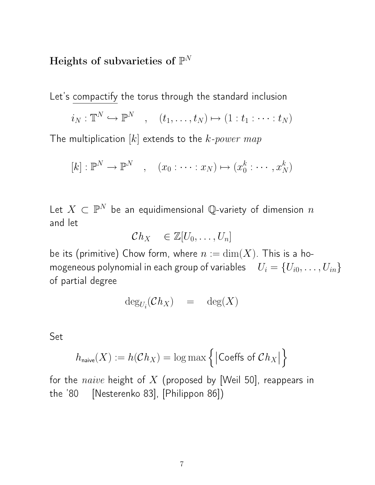# Heights of subvarieties of  $\mathbb{P}^N$

Let's compactify the torus through the standard inclusion

$$
i_N: \mathbb{T}^N \hookrightarrow \mathbb{P}^N \quad , \quad (t_1, \ldots, t_N) \mapsto (1: t_1: \cdots : t_N)
$$

The multiplication  $[k]$  extends to the  $k$ -power map

$$
[k] : \mathbb{P}^N \to \mathbb{P}^N \quad , \quad (x_0 : \cdots : x_N) \mapsto (x_0^k : \cdots, x_N^k)
$$

Let  $X \, \subset \, \mathbb{P}^N$  be an equidimensional  $\mathbb{Q}$ -variety of dimension  $n$ and let

$$
\mathcal{C}h_X \quad \in \mathbb{Z}[U_0,\ldots,U_n]
$$

be its (primitive) Chow form, where  $n := \dim(X)$ . This is a homogeneous polynomial in each group of variables  $U_i = \{U_{i0}, \ldots, U_{in}\}$ of partial degree

$$
\deg_{U_i}(\mathcal{C}h_X) = \deg(X)
$$

Set

$$
h_{\text{naive}}(X) := h(\mathcal{C}h_X) = \log \max \left\{ \left| \text{Coeffs of } \mathcal{C}h_X \right| \right\}
$$

for the naive height of  $X$  (proposed by [Weil 50], reappears in the '80 [Nesterenko 83], [Philippon 86])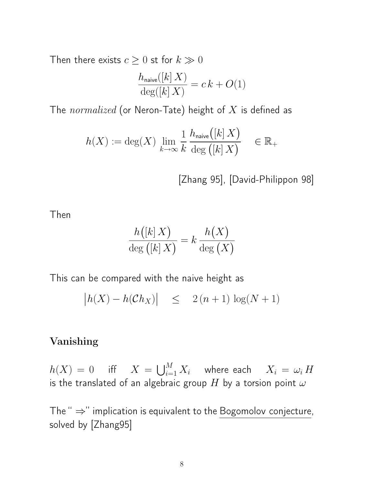Then there exists  $c \geq 0$  st for  $k \gg 0$ 

$$
\frac{h_{\text{naive}}([k]X)}{\deg([k]X)} = c k + O(1)
$$

The  $normalized$  (or Neron-Tate) height of  $X$  is defined as

$$
h(X) := \deg(X) \lim_{k \to \infty} \frac{1}{k} \frac{h_{\text{naive}}([k]X)}{\deg([k]X)} \in \mathbb{R}_+
$$

[Zhang 95], [David-Philippon 98]

Then

$$
\frac{h([k]X)}{\deg ([k]X)} = k \frac{h(X)}{\deg (X)}
$$

This can be compared with the naive height as

$$
\left| h(X) - h(\mathcal{C}h_X) \right| \leq 2(n+1) \log(N+1)
$$

### Vanishing

 $h(X) \,=\, 0 \hspace{5mm} \text{iff} \hspace{5mm} X \,=\, \bigcup_{i=1}^M X_i \hspace{5mm} \text{where each } \hspace{5mm} X_i \,=\, \omega_i \,H$ is the translated of an algebraic group H by a torsion point  $\omega$ 

The " ⇒" implication is equivalent to the Bogomolov conjecture, solved by [Zhang95]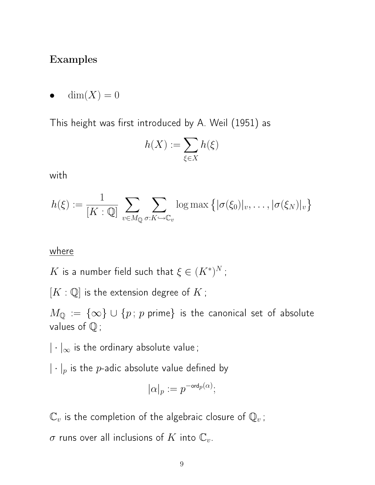## Examples

 $dim(X) = 0$ 

This height was first introduced by A. Weil (1951) as

$$
h(X) := \sum_{\xi \in X} h(\xi)
$$

with

$$
h(\xi) := \frac{1}{[K:\mathbb{Q}]} \sum_{v \in M_{\mathbb{Q}}} \sum_{\sigma: K \hookrightarrow \mathbb{C}_v} \log \max \left\{ |\sigma(\xi_0)|_v, \dots, |\sigma(\xi_N)|_v \right\}
$$

#### where

 $K$  is a number field such that  $\xi \in (K^*)^N$  ;

 $[K:\mathbb{Q}]$  is the extension degree of  $K$ ;

 $M_{\mathbb{Q}} := {\infty} \cup {\{p : p \text{ prime}\}}$  is the canonical set of absolute values of  $\mathbb Q$ ;

 $|\cdot|_{\infty}$  is the ordinary absolute value;

 $|\cdot|_p$  is the p-adic absolute value defined by

$$
|\alpha|_p:=p^{-{\rm ord}_p(\alpha)};
$$

 $\mathbb{C}_v$  is the completion of the algebraic closure of  $\mathbb{Q}_v$ ;

 $\sigma$  runs over all inclusions of K into  $\mathbb{C}_v$ .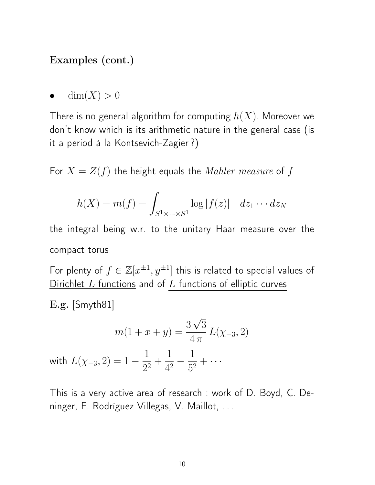## Examples (cont.)

 $dim(X) > 0$ 

There is no general algorithm for computing  $h(X)$ . Moreover we don't know which is its arithmetic nature in the general case (is it a period à la Kontsevich-Zagier ?)

For  $X = Z(f)$  the height equals the *Mahler measure* of f

$$
h(X) = m(f) = \int_{S^1 \times \dots \times S^1} \log |f(z)| \, dz_1 \cdots dz_N
$$

the integral being w.r. to the unitary Haar measure over the compact torus

For plenty of  $f \in \mathbb{Z}[x^{\pm 1}, y^{\pm 1}]$  this is related to special values of Dirichlet  $L$  functions and of  $L$  functions of elliptic curves

E.g. [Smyth81]

$$
m(1+x+y) = \frac{3\sqrt{3}}{4\pi}L(\chi_{-3}, 2)
$$

with  $L(\chi_{-3},2)=1$  – 1  $rac{1}{2^2}$  + 1  $rac{1}{4^2}$  – 1  $rac{1}{5^2} + \cdots$ 

This is a very active area of research : work of D. Boyd, C. Deninger, F. Rodríguez Villegas, V. Maillot, . . .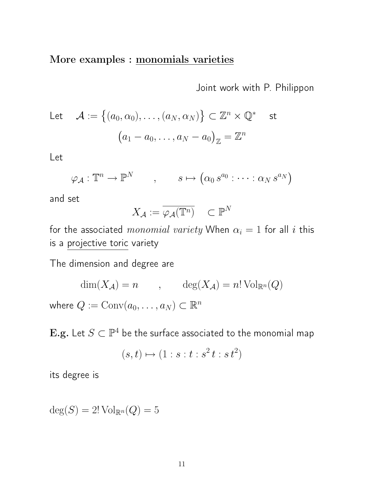## More examples : monomials varieties

Joint work with P. Philippon

Let 
$$
\mathcal{A} := \{(a_0, \alpha_0), \dots, (a_N, \alpha_N)\} \subset \mathbb{Z}^n \times \mathbb{Q}^*
$$
 st  

$$
(a_1 - a_0, \dots, a_N - a_0)_{\mathbb{Z}} = \mathbb{Z}^n
$$

Let

$$
\varphi_{\mathcal{A}} : \mathbb{T}^n \to \mathbb{P}^N \qquad , \qquad s \mapsto (\alpha_0 \, s^{a_0} : \cdots : \alpha_N \, s^{a_N})
$$

and set

$$
X_{\mathcal{A}} := \overline{\varphi_{\mathcal{A}}(\mathbb{T}^n)} \quad \subset \mathbb{P}^N
$$

for the associated monomial variety When  $\alpha_i = 1$  for all i this is a projective toric variety

The dimension and degree are

$$
\dim(X_{\mathcal{A}}) = n \qquad , \qquad \deg(X_{\mathcal{A}}) = n! \operatorname{Vol}_{\mathbb{R}^n}(Q)
$$
  
where  $Q := \operatorname{Conv}(a_0, \dots, a_N) \subset \mathbb{R}^n$ 

 $\mathbf{E}.\mathbf{g}.$  Let  $S \subset \mathbb{P}^4$  be the surface associated to the monomial map

$$
(s,t)\mapsto (1:s:t:s^2t:s^2t)
$$

its degree is

$$
\deg(S) = 2! \operatorname{Vol}_{\mathbb{R}^n}(Q) = 5
$$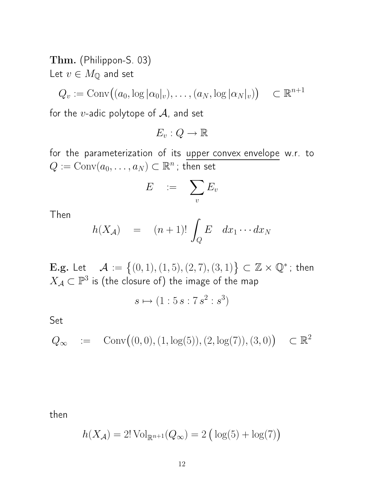Thm. (Philippon-S. 03)

Let  $v \in M_{\mathbb{Q}}$  and set

$$
Q_v := \text{Conv}\big((a_0, \log |\alpha_0|_v), \dots, (a_N, \log |\alpha_N|_v)\big) \quad \subset \mathbb{R}^{n+1}
$$

for the  $v$ -adic polytope of  $A$ , and set

$$
E_v:Q\to\mathbb{R}
$$

for the parameterization of its upper convex envelope w.r. to  $Q:=\mathrm{Conv}(a_0,\ldots,a_N)\subset \mathbb{R}^n$  ; then set

$$
E \quad := \quad \sum_v E_v
$$

Then

$$
h(X_{\mathcal{A}}) = (n+1)! \int_{Q} E \ dx_1 \cdots dx_N
$$

**E.g.** Let  $\mathcal{A} := \{(0, 1), (1, 5), (2, 7), (3, 1)\} \subset \mathbb{Z} \times \mathbb{Q}^*$ ; then  $X_\mathcal{A} \subset \mathbb{P}^3$  is (the closure of) the image of the map

$$
s \mapsto (1:5s:7s^2:s^3)
$$

Set

$$
Q_{\infty} := \text{Conv}\big((0,0), (1, \log(5)), (2, \log(7)), (3,0)\big) \subset \mathbb{R}^2
$$

then

$$
h(X_{\mathcal{A}}) = 2! \operatorname{Vol}_{\mathbb{R}^{n+1}}(Q_{\infty}) = 2 (\log(5) + \log(7))
$$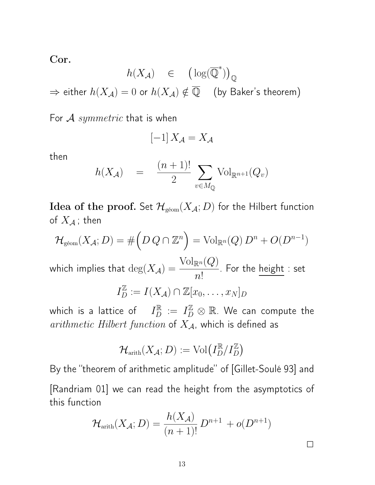Cor.

$$
h(X_{\mathcal A}) \quad \in \quad \left(\log(\overline{\mathbb Q}^*)\right)_{\mathbb Q}
$$
\n
$$
\Rightarrow \text{ either } h(X_{\mathcal A}) = 0 \text{ or } h(X_{\mathcal A}) \notin \overline{\mathbb Q} \quad \text{ (by Baker's theorem)}
$$

For  $\mathcal A$  symmetric that is when

$$
[-1]\, X_{\mathcal{A}} = X_{\mathcal{A}}
$$

then

$$
h(X_{\mathcal{A}}) = \frac{(n+1)!}{2} \sum_{v \in M_{\mathbb{Q}}} \text{Vol}_{\mathbb{R}^{n+1}}(Q_v)
$$

Idea of the proof. Set  $\mathcal{H}_{\text{geom}}(X_{\mathcal{A}}; D)$  for the Hilbert function of  $X_{\mathcal{A}}$ ; then

$$
\mathcal{H}_{\mathrm{geom}}(X_{\mathcal{A}}; D) = \# \left( D \, Q \cap \mathbb{Z}^n \right) = \mathrm{Vol}_{\mathbb{R}^n}(Q) \, D^n + O(D^{n-1})
$$

which implies that  $\deg(X_{\mathcal A})=\frac{\text{Vol}_{\mathbb R^n}(Q)}{n!}$  $n!$ . For the height : set  $I_D^{\mathbb{Z}} := I(X_{\mathcal{A}}) \cap \mathbb{Z}[x_0, \ldots, x_N]_D$ 

which is a lattice of  $\quad I_D^{\mathbb R} \ := \ I_D^{\mathbb Z} \otimes \mathbb R$ . We can compute the arithmetic Hilbert function of  $X_{\mathcal{A}}$ , which is defined as

$$
\mathcal{H}_\mathrm{arith}(X_\mathcal{A}; D) := \mathrm{Vol}\big(I_D^\mathbb{R}/I_D^\mathbb{Z}\big)
$$

By the "theorem of arithmetic amplitude" of [Gillet-Soulé 93] and [Randriam 01] we can read the height from the asymptotics of this function

$$
\mathcal{H}_{\rm arith}(X_{\mathcal{A}}; D) = \frac{h(X_{\mathcal{A}})}{(n+1)!} D^{n+1} + o(D^{n+1})
$$

 $\Box$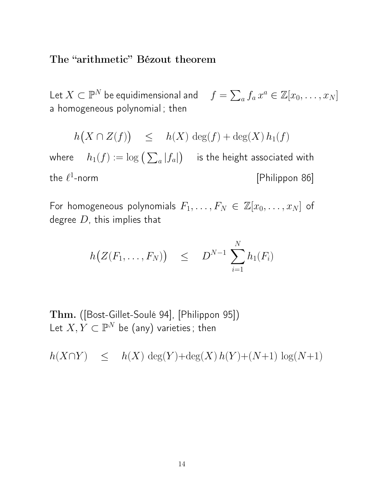### The "arithmetic" Bézout theorem

Let  $X \subset \mathbb{P}^N$  be equidimensional and  $f = \sum_a f_a x^a \in \mathbb{Z}[x_0, \ldots, x_N]$ a homogeneous polynomial ; then

$$
h(X \cap Z(f)) \leq h(X) \deg(f) + \deg(X) h_1(f)
$$

where  $-h_1(f):=\log\big(\sum_a|f_a|\big)$  is the height associated with the  $\ell^1$ [Philippon 86]

For homogeneous polynomials  $F_1, \ldots, F_N \in \mathbb{Z}[x_0, \ldots, x_N]$  of degree  $D$ , this implies that

$$
h\big(Z(F_1,\ldots,F_N)\big) \quad \leq \quad D^{N-1}\,\sum_{i=1}^N h_1(F_i)
$$

Thm. ([Bost-Gillet-Soulé 94], [Philippon 95]) Let  $X, Y \subset \mathbb{P}^N$  be (any) varieties; then

 $h(X \cap Y)$  ≤  $h(X) \deg(Y) + \deg(X) h(Y) + (N+1) \log(N+1)$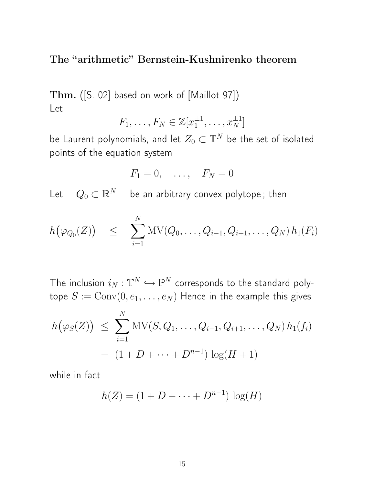The "arithmetic" Bernstein-Kushnirenko theorem

Thm. ([S. 02] based on work of [Maillot 97]) Let

$$
F_1, \ldots, F_N \in \mathbb{Z}[x_1^{\pm 1}, \ldots, x_N^{\pm 1}]
$$

be Laurent polynomials, and let  $Z_0\subset \mathbb{T}^N$  be the set of isolated points of the equation system

$$
F_1 = 0, \quad \ldots, \quad F_N = 0
$$

Let  $\quad Q_0 \subset \mathbb{R}^N$  be an arbitrary convex polytope ; then

$$
h(\varphi_{Q_0}(Z)) \leq \sum_{i=1}^N MV(Q_0,\ldots,Q_{i-1},Q_{i+1},\ldots,Q_N)h_1(F_i)
$$

The inclusion  $i_N : \mathbb{T}^N \hookrightarrow \mathbb{P}^N$  corresponds to the standard polytope  $S := \text{Conv}(0, e_1, \dots, e_N)$  Hence in the example this gives

$$
h(\varphi_S(Z)) \leq \sum_{i=1}^N \text{MV}(S, Q_1, \dots, Q_{i-1}, Q_{i+1}, \dots, Q_N) h_1(f_i)
$$
  
=  $(1 + D + \dots + D^{n-1}) \log(H + 1)$ 

while in fact

$$
h(Z) = (1 + D + \dots + D^{n-1}) \log(H)
$$